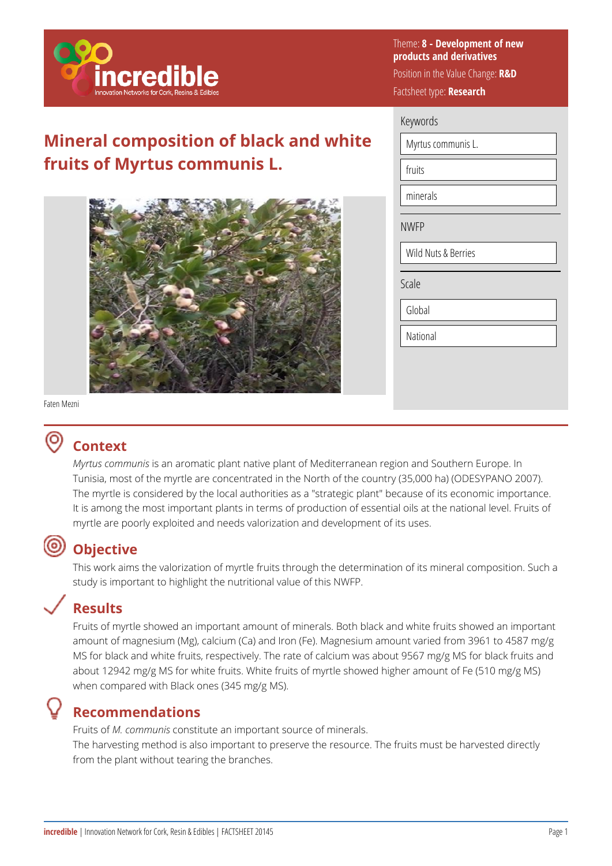

## **Mineral composition of black and white fruits of Myrtus communis L.**



Theme: **8 - Development of new products and derivatives** 

Position in the Value Change: **R&D**  Factsheet type: **Research** 

### Keywords

Myrtus communis L.

minerals

fruits

NWFP

Wild Nuts & Berries

Scale

Global

**National** 

#### Faten Mezni

## **Context**

*Myrtus communis* is an aromatic plant native plant of Mediterranean region and Southern Europe. In Tunisia, most of the myrtle are concentrated in the North of the country (35,000 ha) (ODESYPANO 2007). The myrtle is considered by the local authorities as a "strategic plant" because of its economic importance. It is among the most important plants in terms of production of essential oils at the national level. Fruits of myrtle are poorly exploited and needs valorization and development of its uses.

## **Objective**

This work aims the valorization of myrtle fruits through the determination of its mineral composition. Such a study is important to highlight the nutritional value of this NWFP.

# **Results**

Fruits of myrtle showed an important amount of minerals. Both black and white fruits showed an important amount of magnesium (Mg), calcium (Ca) and Iron (Fe). Magnesium amount varied from 3961 to 4587 mg/g MS for black and white fruits, respectively. The rate of calcium was about 9567 mg/g MS for black fruits and about 12942 mg/g MS for white fruits. White fruits of myrtle showed higher amount of Fe (510 mg/g MS) when compared with Black ones (345 mg/g MS).

## **Recommendations**

Fruits of *M. communis* constitute an important source of minerals.

The harvesting method is also important to preserve the resource. The fruits must be harvested directly from the plant without tearing the branches.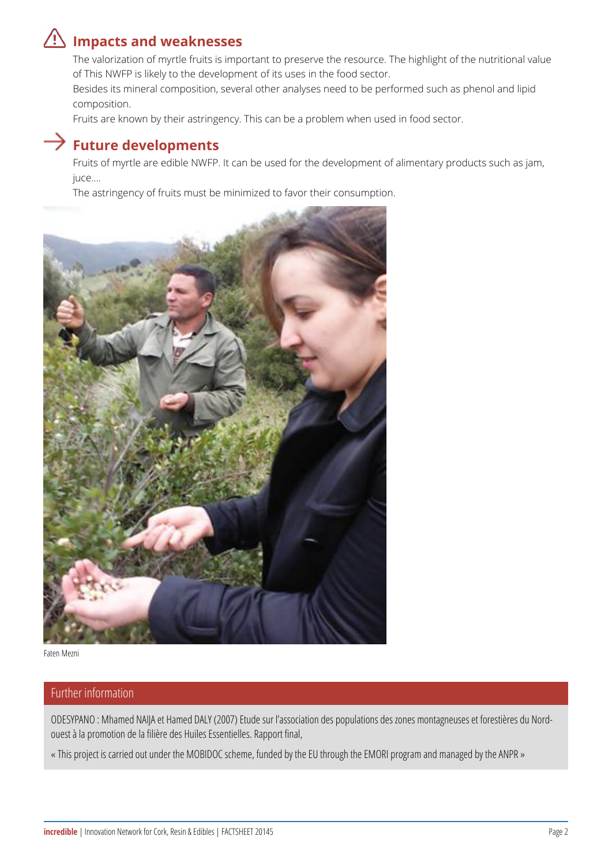# **Impacts and weaknesses**

The valorization of myrtle fruits is important to preserve the resource. The highlight of the nutritional value of This NWFP is likely to the development of its uses in the food sector.

Besides its mineral composition, several other analyses need to be performed such as phenol and lipid composition.

Fruits are known by their astringency. This can be a problem when used in food sector.

### **Future developments**

Fruits of myrtle are edible NWFP. It can be used for the development of alimentary products such as jam, juce….

The astringency of fruits must be minimized to favor their consumption.





### Further information

ODESYPANO : Mhamed NAIJA et Hamed DALY (2007) Etude sur l'association des populations des zones montagneuses et forestières du Nordouest à la promotion de la filière des Huiles Essentielles. Rapport final,

« This project is carried out under the MOBIDOC scheme, funded by the EU through the EMORI program and managed by the ANPR »